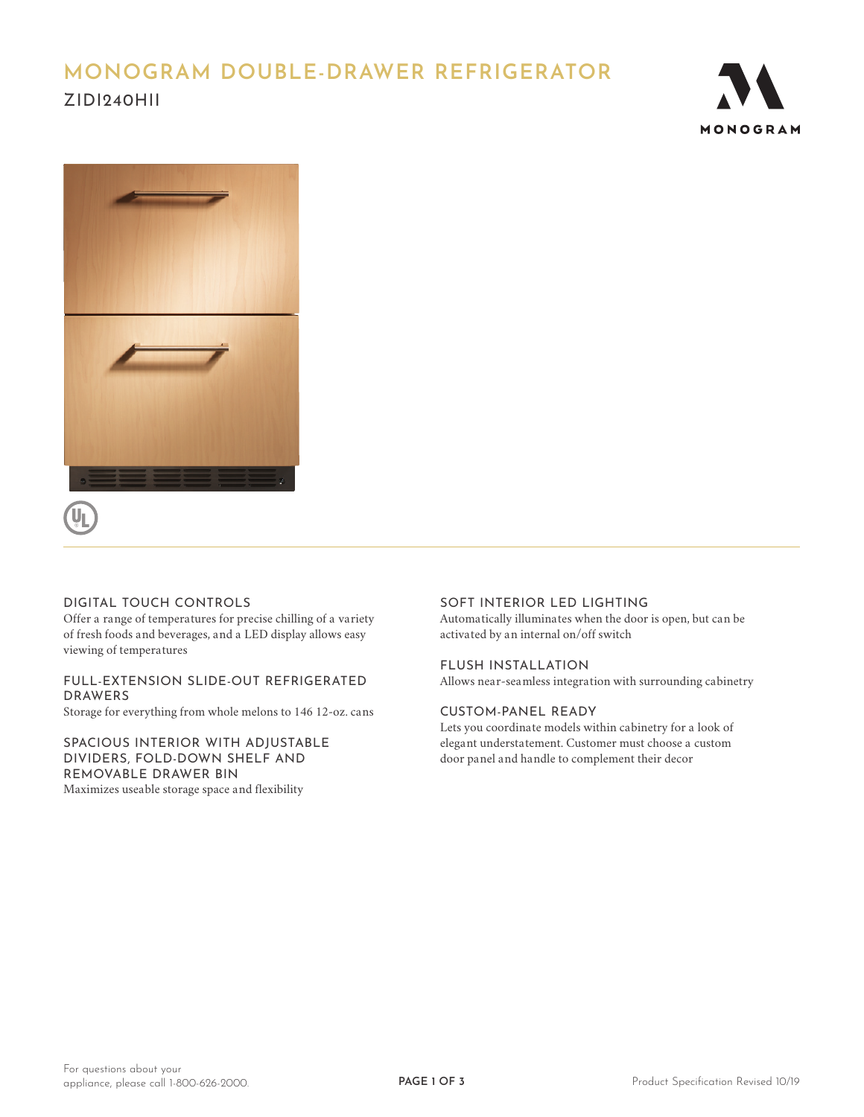# **MONOGRAM DOUBLE-DRAWER REFRIGERATOR**  ZIDI240HII







### DIGITAL TOUCH CONTROLS

Offer a range of temperatures for precise chilling of a variety of fresh foods and beverages, and a LED display allows easy viewing of temperatures

#### FULL-EXTENSION SLIDE-OUT REFRIGERATED DRAWERS

Storage for everything from whole melons to 146 12-oz. cans

SPACIOUS INTERIOR WITH ADJUSTABLE DIVIDERS, FOLD-DOWN SHELF AND REMOVABLE DRAWER BIN Maximizes useable storage space and flexibility

#### SOFT INTERIOR LED LIGHTING

Automatically illuminates when the door is open, but can be activated by an internal on/off switch

#### FLUSH INSTALLATION

Allows near-seamless integration with surrounding cabinetry

#### CUSTOM-PANEL READY

Lets you coordinate models within cabinetry for a look of elegant understatement. Customer must choose a custom door panel and handle to complement their decor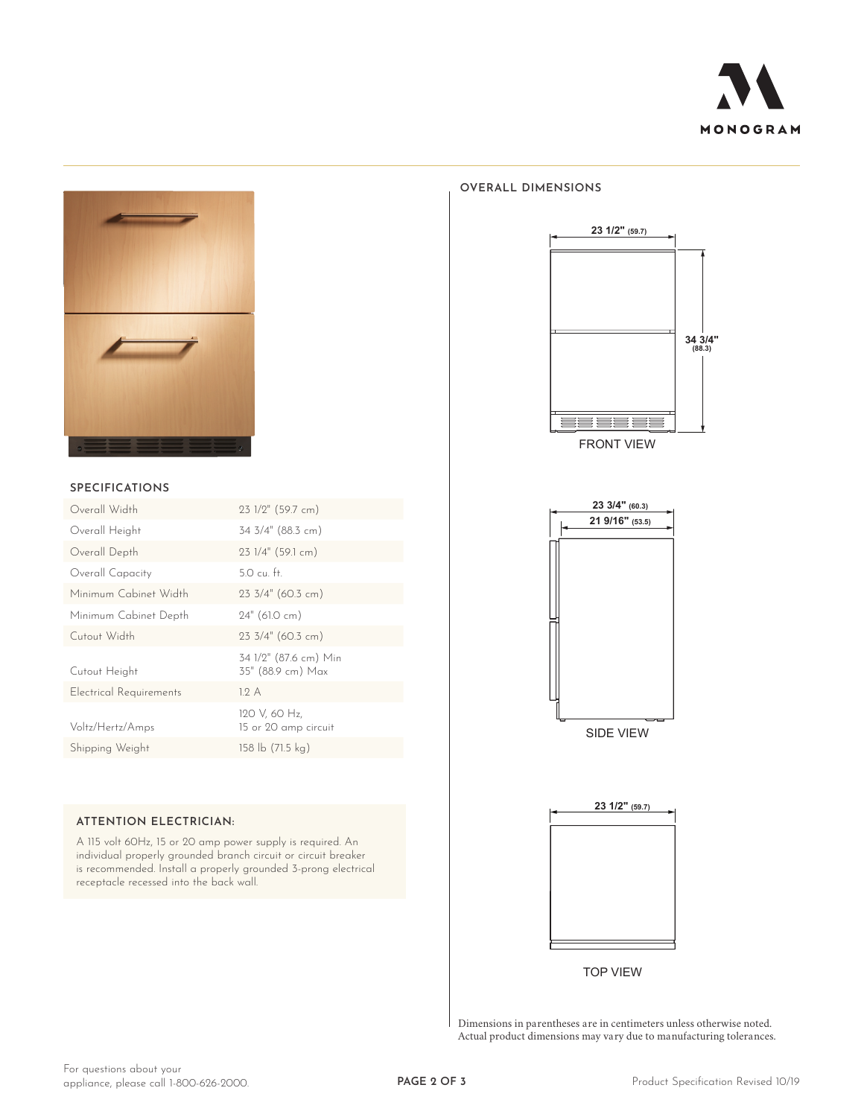



#### **SPECIFICATIONS**

| Overall Width                  | 23 1/2" (59.7 cm)                          |
|--------------------------------|--------------------------------------------|
| Overall Height                 | 34 3/4" (88.3 cm)                          |
| Overall Depth                  | $231/4"$ (59.1 cm)                         |
| Overall Capacity               | $5.0 \text{ cu}$ . ft.                     |
| Minimum Cabinet Width          | $23 \frac{3}{4}$ " (60.3 cm)               |
| Minimum Cabinet Depth          | $24"$ (61.0 cm)                            |
| Cutout Width                   | 23 3/4" (60.3 cm)                          |
| Cutout Height                  | 34 1/2" (87.6 cm) Min<br>35" (88.9 cm) Max |
| <b>Electrical Requirements</b> | 12A                                        |
| Voltz/Hertz/Amps               | 120 V, 60 Hz,<br>15 or 20 amp circuit      |
| Shipping Weight                | 158 lb (71.5 kg)                           |
|                                |                                            |

#### **ATTENTION ELECTRICIAN:**

A 115 volt 60Hz, 15 or 20 amp power supply is required. An individual properly grounded branch circuit or circuit breaker is recommended. Install a properly grounded 3-prong electrical receptacle recessed into the back wall.

#### **OVERALL DIMENSIONS**



FRONT VIEW





TOP VIEW

Dimensions in parentheses are in centimeters unless otherwise noted. Actual product dimensions may vary due to manufacturing tolerances.